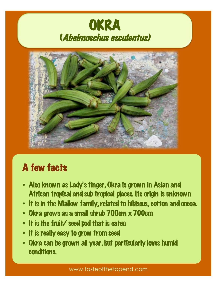# OKRA (Abelmoschus esculentus)



## A few facts

- Also known as Lady's finger, Okra is grown in Asian and African tropical and sub tropical places. Its origin is unknown
- It is in the Mallow family, related to hibiscus, cotton and cocoa.
- Okra grows as a small shrub 700cm x 700cm
- It is the fruit/ seed pod that is eaten
- It is really easy to grow from seed
- Okra can be grown all year, but particularly loves humid conditions.